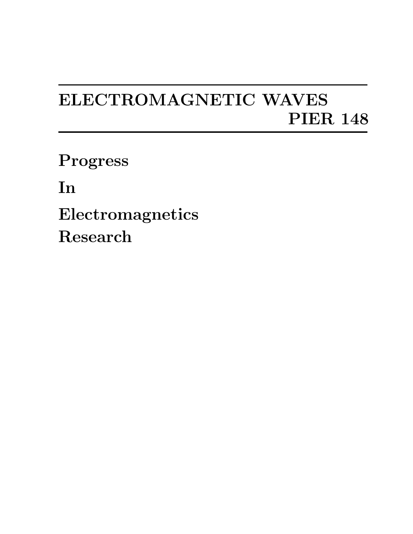## ELECTROMAGNETIC WAVES PIER 148

Progress

In

Electromagnetics Research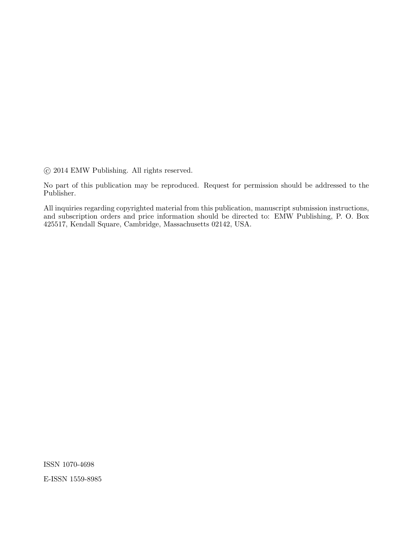°c 2014 EMW Publishing. All rights reserved.

No part of this publication may be reproduced. Request for permission should be addressed to the Publisher.

All inquiries regarding copyrighted material from this publication, manuscript submission instructions, and subscription orders and price information should be directed to: EMW Publishing, P. O. Box 425517, Kendall Square, Cambridge, Massachusetts 02142, USA.

ISSN 1070-4698 E-ISSN 1559-8985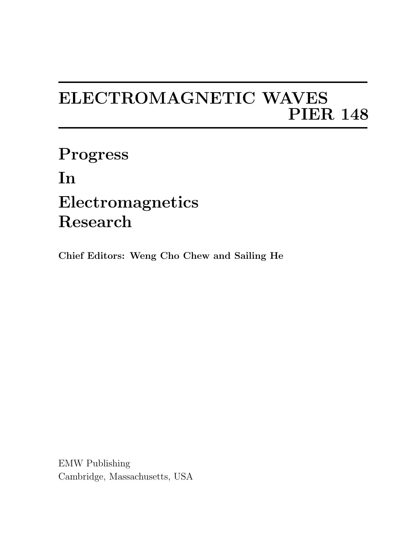## ELECTROMAGNETIC WAVES PIER 148

Progress In Electromagnetics Research

Chief Editors: Weng Cho Chew and Sailing He

EMW Publishing Cambridge, Massachusetts, USA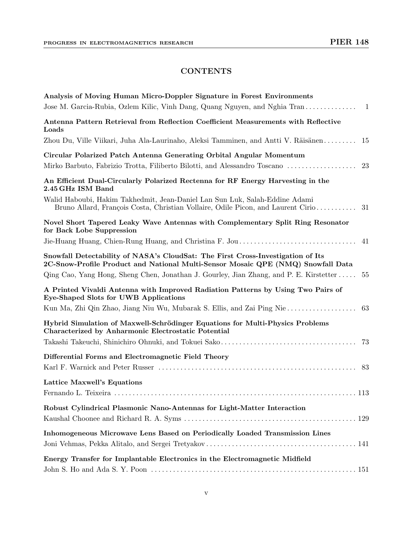## **CONTENTS**

| Analysis of Moving Human Micro-Doppler Signature in Forest Environments                                                                                                |
|------------------------------------------------------------------------------------------------------------------------------------------------------------------------|
| Jose M. Garcia-Rubia, Ozlem Kilic, Vinh Dang, Quang Nguyen, and Nghia Tran<br>-1                                                                                       |
| Antenna Pattern Retrieval from Reflection Coefficient Measurements with Reflective<br>Loads                                                                            |
| Zhou Du, Ville Viikari, Juha Ala-Laurinaho, Aleksi Tamminen, and Antti V. Räisänen<br>15                                                                               |
| Circular Polarized Patch Antenna Generating Orbital Angular Momentum<br>Mirko Barbuto, Fabrizio Trotta, Filiberto Bilotti, and Alessandro Toscano<br>23                |
| An Efficient Dual-Circularly Polarized Rectenna for RF Energy Harvesting in the<br>2.45 GHz ISM Band                                                                   |
| Walid Haboubi, Hakim Takhedmit, Jean-Daniel Lan Sun Luk, Salah-Eddine Adami<br>Bruno Allard, François Costa, Christian Vollaire, Odile Picon, and Laurent Cirio<br>-31 |
| Novel Short Tapered Leaky Wave Antennas with Complementary Split Ring Resonator<br>for Back Lobe Suppression                                                           |
| 41                                                                                                                                                                     |
| Snowfall Detectability of NASA's CloudSat: The First Cross-Investigation of Its<br>2C-Snow-Profile Product and National Multi-Sensor Mosaic QPE (NMQ) Snowfall Data    |
| Qing Cao, Yang Hong, Sheng Chen, Jonathan J. Gourley, Jian Zhang, and P. E. Kirstetter<br>55                                                                           |
| A Printed Vivaldi Antenna with Improved Radiation Patterns by Using Two Pairs of<br>Eye-Shaped Slots for UWB Applications                                              |
| Kun Ma, Zhi Qin Zhao, Jiang Niu Wu, Mubarak S. Ellis, and Zai Ping Nie<br>63                                                                                           |
| Hybrid Simulation of Maxwell-Schrödinger Equations for Multi-Physics Problems<br>Characterized by Anharmonic Electrostatic Potential                                   |
| 73                                                                                                                                                                     |
| Differential Forms and Electromagnetic Field Theory                                                                                                                    |
| 83                                                                                                                                                                     |
| Lattice Maxwell's Equations                                                                                                                                            |
| 113                                                                                                                                                                    |
| Robust Cylindrical Plasmonic Nano-Antennas for Light-Matter Interaction                                                                                                |
|                                                                                                                                                                        |
| Inhomogeneous Microwave Lens Based on Periodically Loaded Transmission Lines                                                                                           |
| Energy Transfer for Implantable Electronics in the Electromagnetic Midfield                                                                                            |
|                                                                                                                                                                        |